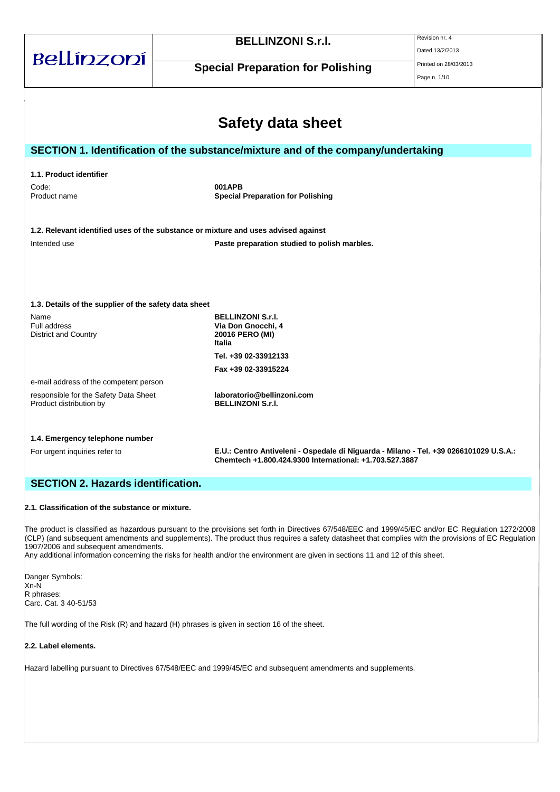|                                                                  | <b>BELLINZONI S.r.I.</b>                                                                                                                         | Revision nr. 4        |
|------------------------------------------------------------------|--------------------------------------------------------------------------------------------------------------------------------------------------|-----------------------|
| Bellínzoní                                                       |                                                                                                                                                  | Dated 13/2/2013       |
|                                                                  | <b>Special Preparation for Polishing</b>                                                                                                         | Printed on 28/03/2013 |
|                                                                  |                                                                                                                                                  | Page n. 1/10          |
|                                                                  |                                                                                                                                                  |                       |
|                                                                  |                                                                                                                                                  |                       |
|                                                                  | <b>Safety data sheet</b>                                                                                                                         |                       |
|                                                                  | SECTION 1. Identification of the substance/mixture and of the company/undertaking                                                                |                       |
|                                                                  |                                                                                                                                                  |                       |
| 1.1. Product identifier                                          |                                                                                                                                                  |                       |
| Code:<br>Product name                                            | 001APB<br><b>Special Preparation for Polishing</b>                                                                                               |                       |
|                                                                  |                                                                                                                                                  |                       |
|                                                                  |                                                                                                                                                  |                       |
|                                                                  | 1.2. Relevant identified uses of the substance or mixture and uses advised against                                                               |                       |
| Intended use                                                     | Paste preparation studied to polish marbles.                                                                                                     |                       |
|                                                                  |                                                                                                                                                  |                       |
|                                                                  |                                                                                                                                                  |                       |
|                                                                  |                                                                                                                                                  |                       |
| 1.3. Details of the supplier of the safety data sheet            |                                                                                                                                                  |                       |
| Name                                                             | <b>BELLINZONI S.r.I.</b>                                                                                                                         |                       |
| Full address<br><b>District and Country</b>                      | Via Don Gnocchi, 4<br>20016 PERO (MI)                                                                                                            |                       |
|                                                                  | Italia                                                                                                                                           |                       |
|                                                                  | Tel. +39 02-33912133                                                                                                                             |                       |
|                                                                  | Fax +39 02-33915224                                                                                                                              |                       |
| e-mail address of the competent person                           |                                                                                                                                                  |                       |
| responsible for the Safety Data Sheet<br>Product distribution by | laboratorio@bellinzoni.com<br><b>BELLINZONI S.r.I.</b>                                                                                           |                       |
|                                                                  |                                                                                                                                                  |                       |
|                                                                  |                                                                                                                                                  |                       |
| 1.4. Emergency telephone number                                  |                                                                                                                                                  |                       |
| For urgent inquiries refer to                                    | E.U.: Centro Antiveleni - Ospedale di Niguarda - Milano - Tel. +39 0266101029 U.S.A.:<br>Chemtech +1.800.424.9300 International: +1.703.527.3887 |                       |
|                                                                  |                                                                                                                                                  |                       |
| <b>SECTION 2. Hazards identification.</b>                        |                                                                                                                                                  |                       |
|                                                                  |                                                                                                                                                  |                       |
| 2.1. Classification of the substance or mixture.                 |                                                                                                                                                  |                       |

The product is classified as hazardous pursuant to the provisions set forth in Directives 67/548/EEC and 1999/45/EC and/or EC Regulation 1272/2008 (CLP) (and subsequent amendments and supplements). The product thus requires a safety datasheet that complies with the provisions of EC Regulation 1907/2006 and subsequent amendments.

Any additional information concerning the risks for health and/or the environment are given in sections 11 and 12 of this sheet.

Danger Symbols: Xn-N R phrases: Carc. Cat. 3 40-51/53

The full wording of the Risk (R) and hazard (H) phrases is given in section 16 of the sheet.

## **2.2. Label elements.**

Hazard labelling pursuant to Directives 67/548/EEC and 1999/45/EC and subsequent amendments and supplements.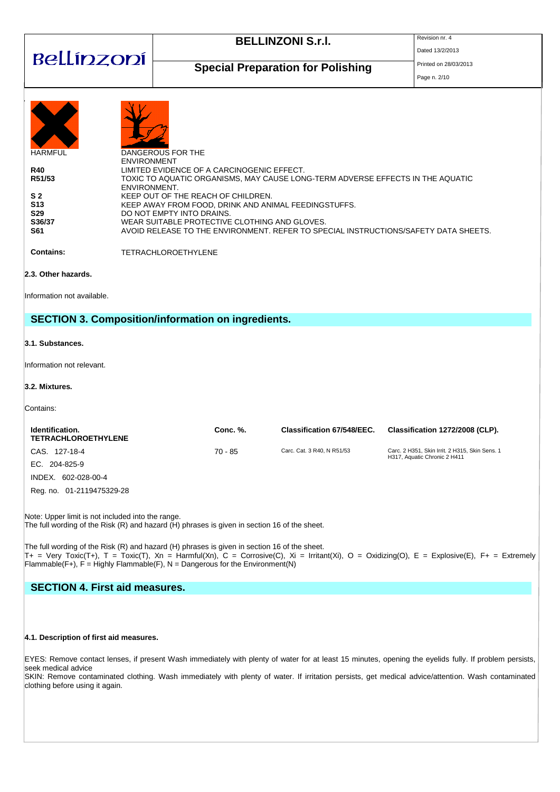| Bellínzoní                                                                                                                                                                                                                                                                                                                                                                                                                                                                                                                                                                                                                                     |  | <b>BELLINZONI S.r.I.</b>                                  | Revision nr. 4<br>Dated 13/2/2013 |                                                                                                                                                                                                                                                                                                              |  |
|------------------------------------------------------------------------------------------------------------------------------------------------------------------------------------------------------------------------------------------------------------------------------------------------------------------------------------------------------------------------------------------------------------------------------------------------------------------------------------------------------------------------------------------------------------------------------------------------------------------------------------------------|--|-----------------------------------------------------------|-----------------------------------|--------------------------------------------------------------------------------------------------------------------------------------------------------------------------------------------------------------------------------------------------------------------------------------------------------------|--|
|                                                                                                                                                                                                                                                                                                                                                                                                                                                                                                                                                                                                                                                |  | <b>Special Preparation for Polishing</b>                  | Printed on 28/03/2013             |                                                                                                                                                                                                                                                                                                              |  |
| Page n. 2/10<br><b>HARMFUL</b><br>DANGEROUS FOR THE<br><b>ENVIRONMENT</b><br><b>R40</b><br>LIMITED EVIDENCE OF A CARCINOGENIC EFFECT.<br>R51/53<br>TOXIC TO AQUATIC ORGANISMS, MAY CAUSE LONG-TERM ADVERSE EFFECTS IN THE AQUATIC<br>ENVIRONMENT.<br>S <sub>2</sub><br>KEEP OUT OF THE REACH OF CHILDREN.<br>S13<br>KEEP AWAY FROM FOOD, DRINK AND ANIMAL FEEDINGSTUFFS.<br>S29<br>DO NOT EMPTY INTO DRAINS.<br>S36/37<br>WEAR SUITABLE PROTECTIVE CLOTHING AND GLOVES.<br>AVOID RELEASE TO THE ENVIRONMENT. REFER TO SPECIAL INSTRUCTIONS/SAFETY DATA SHEETS.<br>S61<br><b>Contains:</b><br><b>TETRACHLOROETHYLENE</b><br>2.3. Other hazards. |  |                                                           |                                   |                                                                                                                                                                                                                                                                                                              |  |
| Information not available.                                                                                                                                                                                                                                                                                                                                                                                                                                                                                                                                                                                                                     |  |                                                           |                                   |                                                                                                                                                                                                                                                                                                              |  |
| 3.1. Substances.                                                                                                                                                                                                                                                                                                                                                                                                                                                                                                                                                                                                                               |  | <b>SECTION 3. Composition/information on ingredients.</b> |                                   |                                                                                                                                                                                                                                                                                                              |  |
| Information not relevant.                                                                                                                                                                                                                                                                                                                                                                                                                                                                                                                                                                                                                      |  |                                                           |                                   |                                                                                                                                                                                                                                                                                                              |  |
| 3.2. Mixtures.                                                                                                                                                                                                                                                                                                                                                                                                                                                                                                                                                                                                                                 |  |                                                           |                                   |                                                                                                                                                                                                                                                                                                              |  |
| Contains:                                                                                                                                                                                                                                                                                                                                                                                                                                                                                                                                                                                                                                      |  |                                                           |                                   |                                                                                                                                                                                                                                                                                                              |  |
| Identification.<br><b>TETRACHLOROETHYLENE</b>                                                                                                                                                                                                                                                                                                                                                                                                                                                                                                                                                                                                  |  | Conc. %.                                                  | <b>Classification 67/548/EEC.</b> | Classification 1272/2008 (CLP).                                                                                                                                                                                                                                                                              |  |
| CAS. 127-18-4<br>EC. 204-825-9<br>INDEX. 602-028-00-4<br>Reg. no. 01-2119475329-28                                                                                                                                                                                                                                                                                                                                                                                                                                                                                                                                                             |  | 70 - 85                                                   | Carc. Cat. 3 R40, N R51/53        | Carc. 2 H351, Skin Irrit. 2 H315, Skin Sens. 1<br>H317, Aquatic Chronic 2 H411                                                                                                                                                                                                                               |  |
| Note: Upper limit is not included into the range.<br>The full wording of the Risk (R) and hazard (H) phrases is given in section 16 of the sheet.                                                                                                                                                                                                                                                                                                                                                                                                                                                                                              |  |                                                           |                                   |                                                                                                                                                                                                                                                                                                              |  |
| The full wording of the Risk (R) and hazard (H) phrases is given in section 16 of the sheet.<br>$T_{+}$ = Very Toxic(T+), T = Toxic(T), Xn = Harmful(Xn), C = Corrosive(C), Xi = Irritant(Xi), O = Oxidizing(O), E = Explosive(E), F+ = Extremely<br>Flammable(F+), $F =$ Highly Flammable(F), $N =$ Dangerous for the Environment(N)                                                                                                                                                                                                                                                                                                          |  |                                                           |                                   |                                                                                                                                                                                                                                                                                                              |  |
| <b>SECTION 4. First aid measures.</b>                                                                                                                                                                                                                                                                                                                                                                                                                                                                                                                                                                                                          |  |                                                           |                                   |                                                                                                                                                                                                                                                                                                              |  |
| 4.1. Description of first aid measures.                                                                                                                                                                                                                                                                                                                                                                                                                                                                                                                                                                                                        |  |                                                           |                                   |                                                                                                                                                                                                                                                                                                              |  |
| seek medical advice<br>clothing before using it again.                                                                                                                                                                                                                                                                                                                                                                                                                                                                                                                                                                                         |  |                                                           |                                   | EYES: Remove contact lenses, if present Wash immediately with plenty of water for at least 15 minutes, opening the eyelids fully. If problem persists,<br>SKIN: Remove contaminated clothing. Wash immediately with plenty of water. If irritation persists, get medical advice/attention. Wash contaminated |  |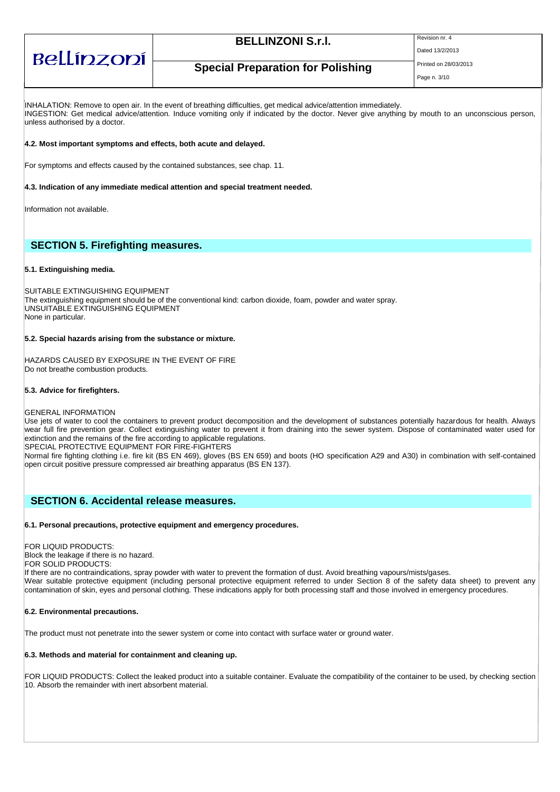| Bellínzoní |  |
|------------|--|
|            |  |

## **BELLINZONI S.r.I.** Revision nr. 4

Dated 13/2/2013

## **Special Preparation for Polishing** Printed on 28/03/2013

Page n. 3/10

INHALATION: Remove to open air. In the event of breathing difficulties, get medical advice/attention immediately. INGESTION: Get medical advice/attention. Induce vomiting only if indicated by the doctor. Never give anything by mouth to an unconscious person, unless authorised by a doctor.

#### **4.2. Most important symptoms and effects, both acute and delayed.**

For symptoms and effects caused by the contained substances, see chap. 11.

#### **4.3. Indication of any immediate medical attention and special treatment needed.**

Information not available.

## **SECTION 5. Firefighting measures.**

#### **5.1. Extinguishing media.**

SUITABLE EXTINGUISHING EQUIPMENT The extinguishing equipment should be of the conventional kind: carbon dioxide, foam, powder and water spray. UNSUITABLE EXTINGUISHING EQUIPMENT None in particular.

#### **5.2. Special hazards arising from the substance or mixture.**

HAZARDS CAUSED BY EXPOSURE IN THE EVENT OF FIRE Do not breathe combustion products.

#### **5.3. Advice for firefighters.**

GENERAL INFORMATION

Use jets of water to cool the containers to prevent product decomposition and the development of substances potentially hazardous for health. Always wear full fire prevention gear. Collect extinguishing water to prevent it from draining into the sewer system. Dispose of contaminated water used for extinction and the remains of the fire according to applicable regulations.

SPECIAL PROTECTIVE EQUIPMENT FOR FIRE-FIGHTERS

Normal fire fighting clothing i.e. fire kit (BS EN 469), gloves (BS EN 659) and boots (HO specification A29 and A30) in combination with self-contained open circuit positive pressure compressed air breathing apparatus (BS EN 137).

## **SECTION 6. Accidental release measures.**

#### **6.1. Personal precautions, protective equipment and emergency procedures.**

FOR LIQUID PRODUCTS:

Block the leakage if there is no hazard.

FOR SOLID PRODUCTS:

If there are no contraindications, spray powder with water to prevent the formation of dust. Avoid breathing vapours/mists/gases. Wear suitable protective equipment (including personal protective equipment referred to under Section 8 of the safety data sheet) to prevent any contamination of skin, eyes and personal clothing. These indications apply for both processing staff and those involved in emergency procedures.

#### **6.2. Environmental precautions.**

The product must not penetrate into the sewer system or come into contact with surface water or ground water.

#### **6.3. Methods and material for containment and cleaning up.**

FOR LIQUID PRODUCTS: Collect the leaked product into a suitable container. Evaluate the compatibility of the container to be used, by checking section 10. Absorb the remainder with inert absorbent material.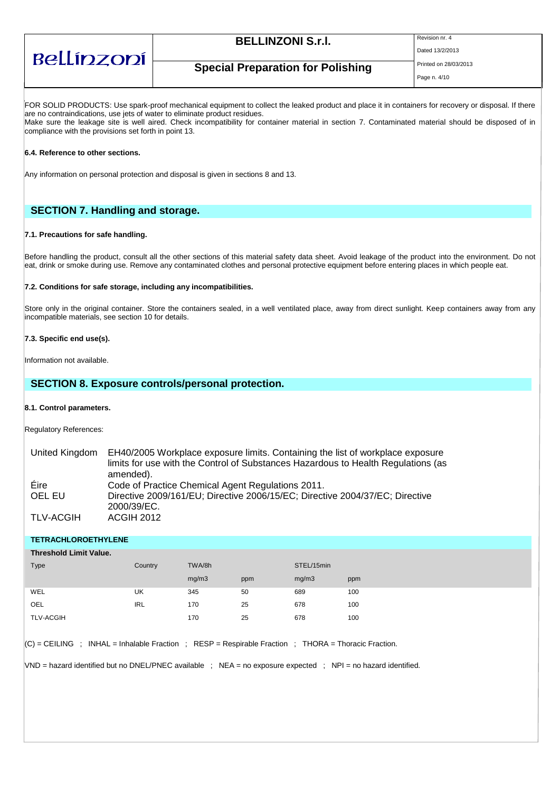# Bellínzoní

## **BELLINZONI S.r.I.** Revision nr. 4

Dated 13/2/2013

**Special Preparation for Polishing** Printed on 28/03/2013

FOR SOLID PRODUCTS: Use spark-proof mechanical equipment to collect the leaked product and place it in containers for recovery or disposal. If there are no contraindications, use jets of water to eliminate product residues. Make sure the leakage site is well aired. Check incompatibility for container material in section 7. Contaminated material should be disposed of in

compliance with the provisions set forth in point 13.

#### **6.4. Reference to other sections.**

Any information on personal protection and disposal is given in sections 8 and 13.

## **SECTION 7. Handling and storage.**

#### **7.1. Precautions for safe handling.**

Before handling the product, consult all the other sections of this material safety data sheet. Avoid leakage of the product into the environment. Do not eat, drink or smoke during use. Remove any contaminated clothes and personal protective equipment before entering places in which people eat.

#### **7.2. Conditions for safe storage, including any incompatibilities.**

Store only in the original container. Store the containers sealed, in a well ventilated place, away from direct sunlight. Keep containers away from any incompatible materials, see section 10 for details.

#### **7.3. Specific end use(s).**

Information not available.

### **SECTION 8. Exposure controls/personal protection.**

#### **8.1. Control parameters.**

Regulatory References:

| United Kingdom | EH40/2005 Workplace exposure limits. Containing the list of workplace exposure    |
|----------------|-----------------------------------------------------------------------------------|
|                | limits for use with the Control of Substances Hazardous to Health Regulations (as |
|                | amended).                                                                         |
| Eire           | Code of Practice Chemical Agent Regulations 2011.                                 |
| OEL EU         | Directive 2009/161/EU; Directive 2006/15/EC; Directive 2004/37/EC; Directive      |
|                | 2000/39/EC.                                                                       |
| TLV-ACGIH      | <b>ACGIH 2012</b>                                                                 |

#### **TETRACHLOROETHYLENE**

| <b>Threshold Limit Value.</b>                |
|----------------------------------------------|
| TWA/8h<br>STEL/15min<br>Type<br>Country      |
| mg/m3<br>mg/m3<br>ppm<br>ppm                 |
| UK<br>50<br>WEL<br>345<br>689<br>100         |
| <b>IRL</b><br>678<br>170<br>25<br>100<br>OEL |
| <b>TLV-ACGIH</b><br>25<br>678<br>170<br>100  |

 $|C|$  = CEILING ; INHAL = Inhalable Fraction ; RESP = Respirable Fraction ; THORA = Thoracic Fraction.

VND = hazard identified but no DNEL/PNEC available ; NEA = no exposure expected ; NPI = no hazard identified.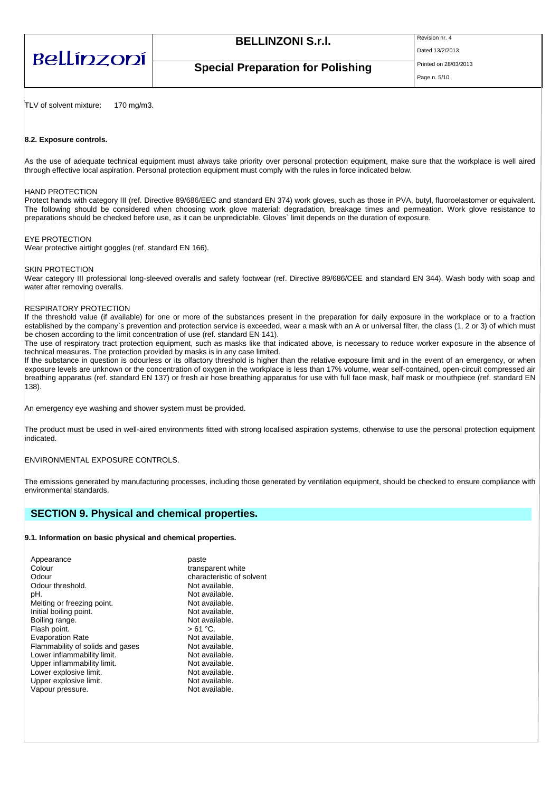| Bellínzoní |  |
|------------|--|
|            |  |

## **BELLINZONI S.r.I.** Revision nr. 4

Dated 13/2/2013

## **Special Preparation for Polishing** Printed on 28/03/2013

Page n. 5/10

TLV of solvent mixture: 170 mg/m3.

#### **8.2. Exposure controls.**

As the use of adequate technical equipment must always take priority over personal protection equipment, make sure that the workplace is well aired through effective local aspiration. Personal protection equipment must comply with the rules in force indicated below.

#### HAND PROTECTION

Protect hands with category III (ref. Directive 89/686/EEC and standard EN 374) work gloves, such as those in PVA, butyl, fluoroelastomer or equivalent. The following should be considered when choosing work glove material: degradation, breakage times and permeation. Work glove resistance to preparations should be checked before use, as it can be unpredictable. Gloves` limit depends on the duration of exposure.

#### EYE PROTECTION

Wear protective airtight goggles (ref. standard EN 166).

#### SKIN PROTECTION

Wear category III professional long-sleeved overalls and safety footwear (ref. Directive 89/686/CEE and standard EN 344). Wash body with soap and water after removing overalls.

#### RESPIRATORY PROTECTION

If the threshold value (if available) for one or more of the substances present in the preparation for daily exposure in the workplace or to a fraction established by the company`s prevention and protection service is exceeded, wear a mask with an A or universal filter, the class (1, 2 or 3) of which must be chosen according to the limit concentration of use (ref. standard EN 141).

The use of respiratory tract protection equipment, such as masks like that indicated above, is necessary to reduce worker exposure in the absence of technical measures. The protection provided by masks is in any case limited.

If the substance in question is odourless or its olfactory threshold is higher than the relative exposure limit and in the event of an emergency, or when exposure levels are unknown or the concentration of oxygen in the workplace is less than 17% volume, wear self-contained, open-circuit compressed air breathing apparatus (ref. standard EN 137) or fresh air hose breathing apparatus for use with full face mask, half mask or mouthpiece (ref. standard EN 138).

An emergency eye washing and shower system must be provided.

The product must be used in well-aired environments fitted with strong localised aspiration systems, otherwise to use the personal protection equipment indicated.

#### ENVIRONMENTAL EXPOSURE CONTROLS.

The emissions generated by manufacturing processes, including those generated by ventilation equipment, should be checked to ensure compliance with environmental standards.

## **SECTION 9. Physical and chemical properties.**

#### **9.1. Information on basic physical and chemical properties.**

| Appearance                       | paste                     |
|----------------------------------|---------------------------|
| Colour                           | transparent white         |
| Odour                            | characteristic of solvent |
| Odour threshold.                 | Not available.            |
| pH.                              | Not available.            |
| Melting or freezing point.       | Not available.            |
| Initial boiling point.           | Not available.            |
| Boiling range.                   | Not available.            |
| Flash point.                     | $>61 °C$ .                |
| <b>Evaporation Rate</b>          | Not available.            |
| Flammability of solids and gases | Not available.            |
| Lower inflammability limit.      | Not available.            |
| Upper inflammability limit.      | Not available.            |
| Lower explosive limit.           | Not available.            |
| Upper explosive limit.           | Not available.            |
| Vapour pressure.                 | Not available.            |
|                                  |                           |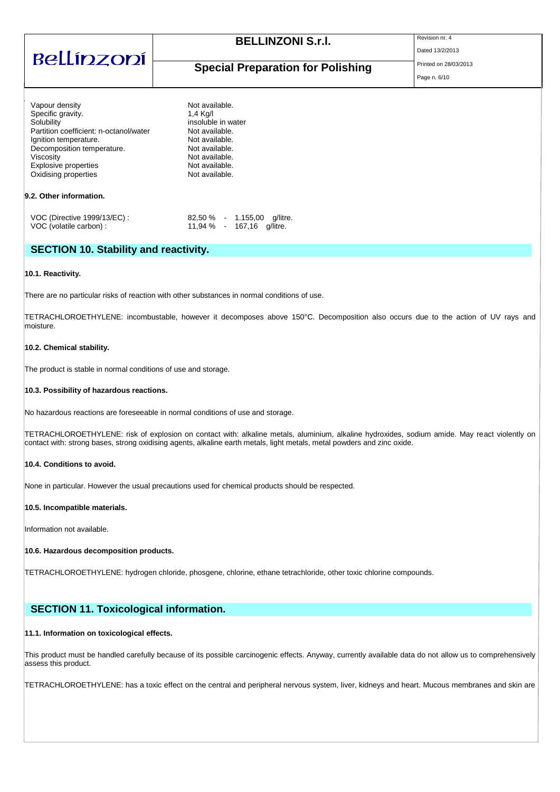| Bellínzoní                                                                                                                                                                                                                                 | <b>BELLINZONI S.r.I.</b><br><b>Special Preparation for Polishing</b>                                                                                         | Revision nr. 4<br>Dated 13/2/2013<br>Printed on 28/03/2013<br>Page n. 6/10 |
|--------------------------------------------------------------------------------------------------------------------------------------------------------------------------------------------------------------------------------------------|--------------------------------------------------------------------------------------------------------------------------------------------------------------|----------------------------------------------------------------------------|
| Vapour density<br>Specific gravity.<br>Solubility<br>Partition coefficient: n-octanol/water<br>Ignition temperature.<br>Decomposition temperature.<br>Viscosity<br>Explosive properties<br>Oxidising properties<br>9.2. Other information. | Not available.<br>1,4 Kg/l<br>insoluble in water<br>Not available.<br>Not available.<br>Not available.<br>Not available.<br>Not available.<br>Not available. |                                                                            |
| VOC (Directive 1999/13/EC) :                                                                                                                                                                                                               | $82,50\%$ - 1.155,00<br>q/litre.                                                                                                                             |                                                                            |

## **SECTION 10. Stability and reactivity.**

#### **10.1. Reactivity.**

There are no particular risks of reaction with other substances in normal conditions of use.

VOC (volatile carbon) : 11,94 % - 167,16 g/litre.

TETRACHLOROETHYLENE: incombustable, however it decomposes above 150°C. Decomposition also occurs due to the action of UV rays and moisture.

#### **10.2. Chemical stability.**

The product is stable in normal conditions of use and storage.

#### **10.3. Possibility of hazardous reactions.**

No hazardous reactions are foreseeable in normal conditions of use and storage.

TETRACHLOROETHYLENE: risk of explosion on contact with: alkaline metals, aluminium, alkaline hydroxides, sodium amide. May react violently on contact with: strong bases, strong oxidising agents, alkaline earth metals, light metals, metal powders and zinc oxide.

#### **10.4. Conditions to avoid.**

None in particular. However the usual precautions used for chemical products should be respected.

#### **10.5. Incompatible materials.**

Information not available.

#### **10.6. Hazardous decomposition products.**

TETRACHLOROETHYLENE: hydrogen chloride, phosgene, chlorine, ethane tetrachloride, other toxic chlorine compounds.

## **SECTION 11. Toxicological information.**

#### **11.1. Information on toxicological effects.**

This product must be handled carefully because of its possible carcinogenic effects. Anyway, currently available data do not allow us to comprehensively assess this product.

TETRACHLOROETHYLENE: has a toxic effect on the central and peripheral nervous system, liver, kidneys and heart. Mucous membranes and skin are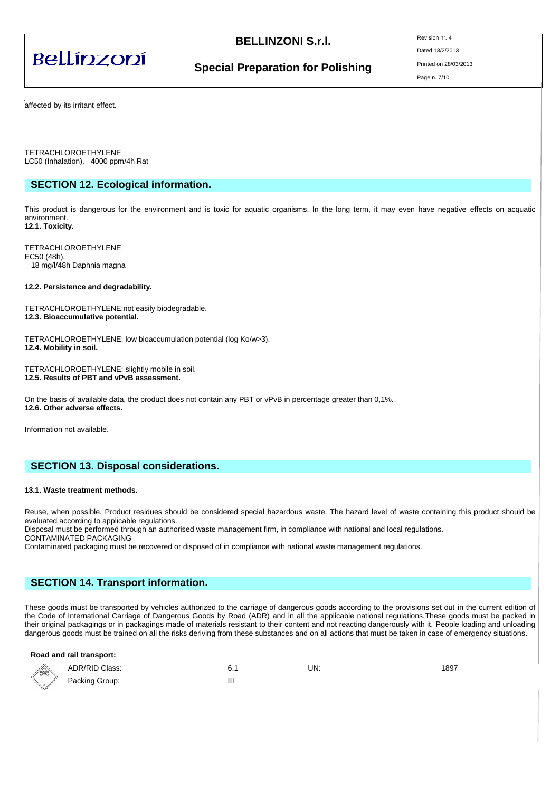| Bellínzoní                       | <b>BELLINZONI S.r.I.</b>                 | Revision nr. 4<br>Dated 13/2/2013     |  |
|----------------------------------|------------------------------------------|---------------------------------------|--|
|                                  | <b>Special Preparation for Polishing</b> | Printed on 28/03/2013<br>Page n. 7/10 |  |
| affected by its irritant effect. |                                          |                                       |  |

TETRACHLOROETHYLENE LC50 (Inhalation). 4000 ppm/4h Rat

## **SECTION 12. Ecological information.**

This product is dangerous for the environment and is toxic for aquatic organisms. In the long term, it may even have negative effects on acquatic environment. **12.1. Toxicity.**

TETRACHLOROETHYLENE EC50 (48h). 18 mg/l/48h Daphnia magna

#### **12.2. Persistence and degradability.**

TETRACHLOROETHYLENE:not easily biodegradable. **12.3. Bioaccumulative potential.**

TETRACHLOROETHYLENE: low bioaccumulation potential (log Ko/w>3). **12.4. Mobility in soil.**

TETRACHLOROETHYLENE: slightly mobile in soil. **12.5. Results of PBT and vPvB assessment.**

On the basis of available data, the product does not contain any PBT or vPvB in percentage greater than 0,1%. **12.6. Other adverse effects.**

Information not available.

### **SECTION 13. Disposal considerations.**

#### **13.1. Waste treatment methods.**

**Road and rail transport:**

Reuse, when possible. Product residues should be considered special hazardous waste. The hazard level of waste containing this product should be evaluated according to applicable regulations.

Disposal must be performed through an authorised waste management firm, in compliance with national and local regulations. CONTAMINATED PACKAGING

Contaminated packaging must be recovered or disposed of in compliance with national waste management regulations.

## **SECTION 14. Transport information.**

These goods must be transported by vehicles authorized to the carriage of dangerous goods according to the provisions set out in the current edition of the Code of International Carriage of Dangerous Goods by Road (ADR) and in all the applicable national regulations.These goods must be packed in their original packagings or in packagings made of materials resistant to their content and not reacting dangerously with it. People loading and unloading dangerous goods must be trained on all the risks deriving from these substances and on all actions that must be taken in case of emergency situations.

| <u>Road and ran transport.</u> |                |   |     |      |  |  |
|--------------------------------|----------------|---|-----|------|--|--|
| :/isp                          | ADR/RID Class: |   | UN: | 1897 |  |  |
| $\left(\frac{1}{2}\right)$     | Packing Group: | Ш |     |      |  |  |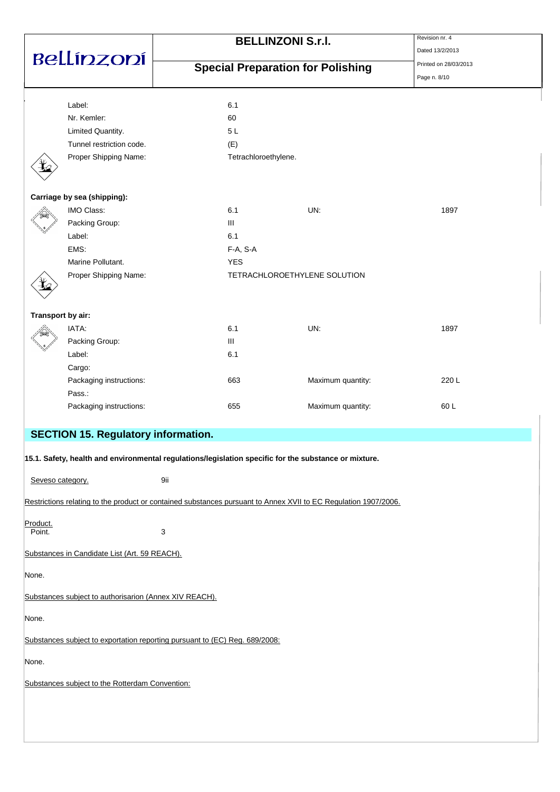| Bellínzoní        |                                                                                                                 | <b>BELLINZONI S.r.I.</b> |                                          |                   | Revision nr. 4<br>Dated 13/2/2013 |
|-------------------|-----------------------------------------------------------------------------------------------------------------|--------------------------|------------------------------------------|-------------------|-----------------------------------|
|                   |                                                                                                                 |                          | <b>Special Preparation for Polishing</b> |                   | Printed on 28/03/2013             |
|                   |                                                                                                                 |                          |                                          |                   | Page n. 8/10                      |
|                   | Label:                                                                                                          | 6.1                      |                                          |                   |                                   |
|                   | Nr. Kemler:                                                                                                     | 60                       |                                          |                   |                                   |
|                   | Limited Quantity.                                                                                               |                          | 5L                                       |                   |                                   |
|                   | Tunnel restriction code.                                                                                        | (E)                      |                                          |                   |                                   |
|                   | Proper Shipping Name:                                                                                           |                          | Tetrachloroethylene.                     |                   |                                   |
|                   | Carriage by sea (shipping):                                                                                     |                          |                                          |                   |                                   |
|                   | IMO Class:                                                                                                      | 6.1                      |                                          | UN:               | 1897                              |
|                   | Packing Group:                                                                                                  | Ш                        |                                          |                   |                                   |
|                   | Label:                                                                                                          | 6.1                      |                                          |                   |                                   |
|                   | EMS:                                                                                                            |                          | $F-A, S-A$                               |                   |                                   |
|                   | Marine Pollutant.                                                                                               |                          | <b>YES</b>                               |                   |                                   |
|                   | Proper Shipping Name:                                                                                           |                          | TETRACHLOROETHYLENE SOLUTION             |                   |                                   |
| Transport by air: |                                                                                                                 |                          |                                          |                   |                                   |
|                   | IATA:                                                                                                           | 6.1                      |                                          | UN:               | 1897                              |
|                   | Packing Group:                                                                                                  | Ш                        |                                          |                   |                                   |
|                   | Label:                                                                                                          |                          | 6.1                                      |                   |                                   |
|                   | Cargo:                                                                                                          |                          |                                          |                   |                                   |
|                   | Packaging instructions:                                                                                         |                          | 663                                      | Maximum quantity: | 220 L                             |
|                   | Pass.:                                                                                                          |                          |                                          |                   |                                   |
|                   | Packaging instructions:                                                                                         |                          | 655                                      | Maximum quantity: | 60L                               |
|                   | <b>SECTION 15. Regulatory information.</b>                                                                      |                          |                                          |                   |                                   |
|                   | 15.1. Safety, health and environmental regulations/legislation specific for the substance or mixture.           |                          |                                          |                   |                                   |
| Seveso category.  |                                                                                                                 | 9ii                      |                                          |                   |                                   |
|                   | Restrictions relating to the product or contained substances pursuant to Annex XVII to EC Regulation 1907/2006. |                          |                                          |                   |                                   |
| Product.          |                                                                                                                 |                          |                                          |                   |                                   |
| Point.            |                                                                                                                 | 3                        |                                          |                   |                                   |
|                   | Substances in Candidate List (Art. 59 REACH).                                                                   |                          |                                          |                   |                                   |
| None.             |                                                                                                                 |                          |                                          |                   |                                   |
|                   | Substances subject to authorisarion (Annex XIV REACH).                                                          |                          |                                          |                   |                                   |
| None.             |                                                                                                                 |                          |                                          |                   |                                   |
|                   | Substances subject to exportation reporting pursuant to (EC) Reg. 689/2008:                                     |                          |                                          |                   |                                   |
| None.             |                                                                                                                 |                          |                                          |                   |                                   |
|                   | Substances subject to the Rotterdam Convention:                                                                 |                          |                                          |                   |                                   |
|                   |                                                                                                                 |                          |                                          |                   |                                   |
|                   |                                                                                                                 |                          |                                          |                   |                                   |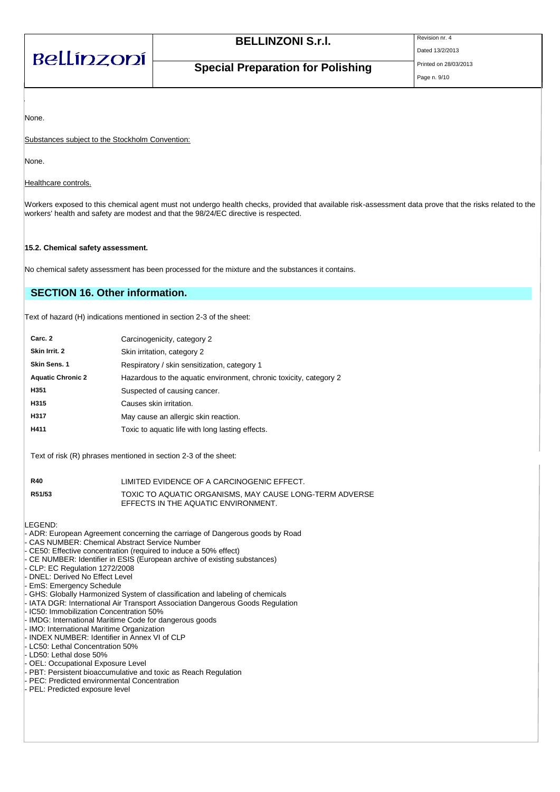| Bellínzoní |  |
|------------|--|
|            |  |

Dated 13/2/2013

**Special Preparation for Polishing** Printed on 28/03/2013

Page n. 9/10

None.

Substances subject to the Stockholm Convention:

None.

Healthcare controls.

Workers exposed to this chemical agent must not undergo health checks, provided that available risk-assessment data prove that the risks related to the workers' health and safety are modest and that the 98/24/EC directive is respected.

#### **15.2. Chemical safety assessment.**

No chemical safety assessment has been processed for the mixture and the substances it contains.

## **SECTION 16. Other information.**

Text of hazard (H) indications mentioned in section 2-3 of the sheet:

| Carc. 2                  | Carcinogenicity, category 2                                        |
|--------------------------|--------------------------------------------------------------------|
| Skin Irrit. 2            | Skin irritation, category 2                                        |
| Skin Sens. 1             | Respiratory / skin sensitization, category 1                       |
| <b>Aquatic Chronic 2</b> | Hazardous to the aquatic environment, chronic toxicity, category 2 |
| H351                     | Suspected of causing cancer.                                       |
| H315                     | Causes skin irritation.                                            |
| H317                     | May cause an allergic skin reaction.                               |
| H411                     | Toxic to aquatic life with long lasting effects.                   |

Text of risk (R) phrases mentioned in section 2-3 of the sheet:

| <b>R40</b> | LIMITED EVIDENCE OF A CARCINOGENIC EFFECT.                                                     |
|------------|------------------------------------------------------------------------------------------------|
| R51/53     | TOXIC TO AQUATIC ORGANISMS. MAY CAUSE LONG-TERM ADVERSE<br>EFFECTS IN THE AQUATIC ENVIRONMENT. |

LEGEND:

- ADR: European Agreement concerning the carriage of Dangerous goods by Road
- CAS NUMBER: Chemical Abstract Service Number
- CE50: Effective concentration (required to induce a 50% effect)
- CE NUMBER: Identifier in ESIS (European archive of existing substances)
- CLP: EC Regulation 1272/2008
- DNEL: Derived No Effect Level
- EmS: Emergency Schedule
- GHS: Globally Harmonized System of classification and labeling of chemicals
- IATA DGR: International Air Transport Association Dangerous Goods Regulation
- IC50: Immobilization Concentration 50%
- IMDG: International Maritime Code for dangerous goods
- IMO: International Maritime Organization
- INDEX NUMBER: Identifier in Annex VI of CLP
- LC50: Lethal Concentration 50%
- LD50: Lethal dose 50%
- OEL: Occupational Exposure Level
- PBT: Persistent bioaccumulative and toxic as Reach Regulation
- PEC: Predicted environmental Concentration
- PEL: Predicted exposure level